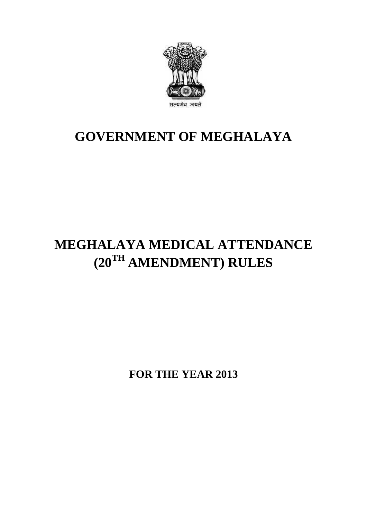

## **GOVERNMENT OF MEGHALAYA**

# **MEGHALAYA MEDICAL ATTENDANCE (20TH AMENDMENT) RULES**

**FOR THE YEAR 2013**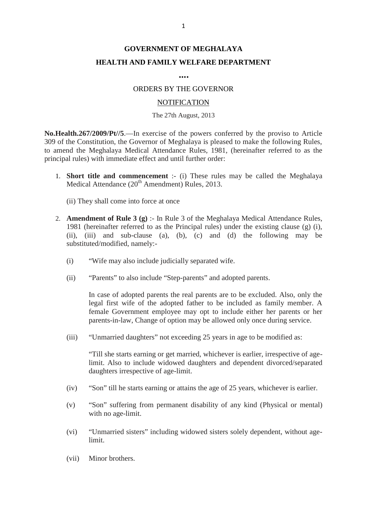### **GOVERNMENT OF MEGHALAYA HEALTH AND FAMILY WELFARE DEPARTMENT**

#### **….**

#### ORDERS BY THE GOVERNOR

#### **NOTIFICATION**

#### The 27th August, 2013

**No.Health.267/2009/Pt//5**.—In exercise of the powers conferred by the proviso to Article 309 Mo.<br>309 of the Constitution, the Governor of the powers conferred by the proviso to Article<br>309 of the Constitution, the Governor of Meghalaya is pleased to make the following Rules,<br>309 of the Constitution, the Govern The 27th August, 2013<br> **No.Health.267/2009/Pt//5**.—In exercise of the powers conferred by the proviso to Article<br>
309 of the Constitution, the Governor of Meghalaya is pleased to make the following Rules,<br>
to amend the Meg principal rules) with immediate effect and until further order: **Health.267/2009/Pt//5.**—In exercise of the powers conferred by the proviso to Article<br>of the Constitution, the Governor of Meghalaya is pleased to make the following Rules,<br>mend the Meghalaya Medical Attendance Rules, 198

(a) all rules) with immediate effect and until furthe<br> **Short title and commencement** :- (i) These<br>
Medical Attendance (20<sup>th</sup> Amendment) Rules,<br>
(ii) They shall come into force at once

- 2. **Amendment of Rule 3 (g)** :- In Rule 3 of the Meghalaya Medical Attendance (20<sup>th</sup> Amendment) Rules, 2013.<br>
2. **Amendment of Rule 3 (g)** :- In Rule 3 of the Meghalaya Medical Attendance Rules, 1981 (hereinafter referre 1981 (hereinafter referred to as the Principal rules) under the existing clause (g) (i), (ii), (iii) and sub-clause (a), (b), (c) and (d) the following may be substituted/modified, namely:-
	- (i) "Wife may also include judicially separated wife.
	- (ii) "Parents" to also include "Step-parents" and adopted parents.

In case of adopted parents the real parents are to be excluded. Also, only the legal first wife of the adopted father to be included as family member. A female Government employee may opt to include either her parents or her "Parents" to also include "Step-parents" and adopted parents.<br>In case of adopted parents the real parents are to be excluded. Also, only the legal first wife of the adopted father to be included as family member. A female

(iii) "Unmarried daughters" not exceeding 25 years in age to be modified as:

"Till she starts earning or get married, whichever is earlier, irrespective of agelimit. Also to include widowed daughters and dependent divorced/separated daughters irrespective of age-limit.

- (iv) "Son" till he starts earning or attains the age of 25 years, whichever is earlier.
- (v) "Son" suffering from permanent disability of any kind (Physical or mental) with no age-limit.
- (vi) "Unmarried sisters" including widowed sisters solely dependent, without agelimit. with no age-ilm<br>
(vi) <br>
"Unmarried sist<br>
limit.<br>
(vii) Minor brothers.
-